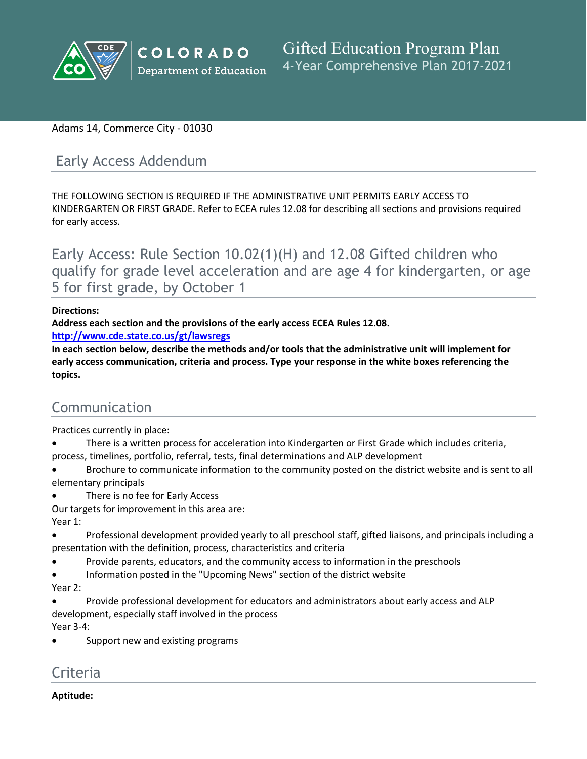

### Adams 14, Commerce City - 01030

## Early Access Addendum

THE FOLLOWING SECTION IS REQUIRED IF THE ADMINISTRATIVE UNIT PERMITS EARLY ACCESS TO KINDERGARTEN OR FIRST GRADE. Refer to ECEA rules 12.08 for describing all sections and provisions required for early access.

Early Access: Rule Section 10.02(1)(H) and 12.08 Gifted children who qualify for grade level acceleration and are age 4 for kindergarten, or age 5 for first grade, by October 1

#### **Directions:**

**Address each section and the provisions of the early access ECEA Rules 12.08.**

**<http://www.cde.state.co.us/gt/lawsregs>**

**In each section below, describe the methods and/or tools that the administrative unit will implement for early access communication, criteria and process. Type your response in the white boxes referencing the topics.**

# Communication

Practices currently in place:

- There is a written process for acceleration into Kindergarten or First Grade which includes criteria, process, timelines, portfolio, referral, tests, final determinations and ALP development
- Brochure to communicate information to the community posted on the district website and is sent to all elementary principals
- There is no fee for Early Access
- Our targets for improvement in this area are:
- Year 1:
- Professional development provided yearly to all preschool staff, gifted liaisons, and principals including a presentation with the definition, process, characteristics and criteria
- Provide parents, educators, and the community access to information in the preschools
- Information posted in the "Upcoming News" section of the district website

Year 2:

 Provide professional development for educators and administrators about early access and ALP development, especially staff involved in the process

Year 3-4:

Support new and existing programs

# Criteria

**Aptitude:**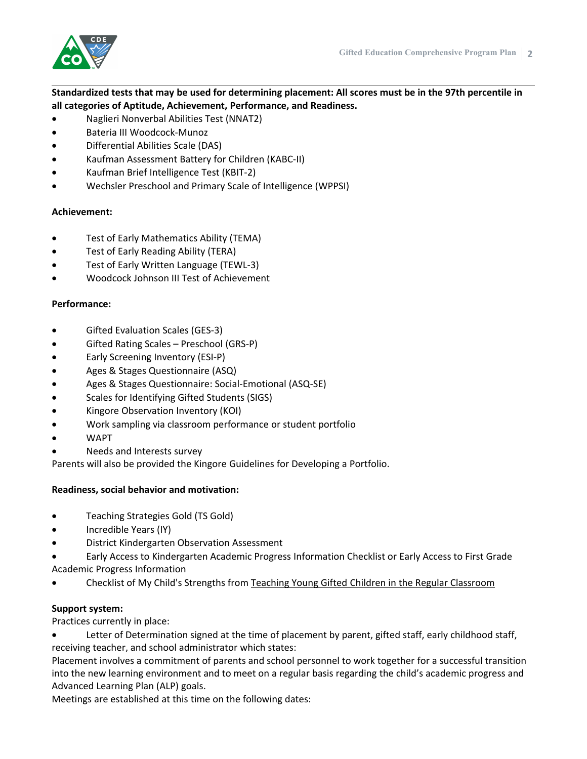

#### Standardized tests that may be used for determining placement: All scores must be in the 97th percentile in **all categories of Aptitude, Achievement, Performance, and Readiness.**

- Naglieri Nonverbal Abilities Test (NNAT2)
- Bateria III Woodcock-Munoz
- Differential Abilities Scale (DAS)
- Kaufman Assessment Battery for Children (KABC-II)
- Kaufman Brief Intelligence Test (KBIT-2)
- Wechsler Preschool and Primary Scale of Intelligence (WPPSI)

#### **Achievement:**

- Test of Early Mathematics Ability (TEMA)
- Test of Early Reading Ability (TERA)
- Test of Early Written Language (TEWL-3)
- Woodcock Johnson III Test of Achievement

#### **Performance:**

- Gifted Evaluation Scales (GES-3)
- Gifted Rating Scales Preschool (GRS-P)
- Early Screening Inventory (ESI-P)
- Ages & Stages Questionnaire (ASQ)
- Ages & Stages Questionnaire: Social-Emotional (ASQ-SE)
- Scales for Identifying Gifted Students (SIGS)
- Kingore Observation Inventory (KOI)
- Work sampling via classroom performance or student portfolio
- WAPT
- Needs and Interests survey

Parents will also be provided the Kingore Guidelines for Developing a Portfolio.

#### **Readiness, social behavior and motivation:**

- Teaching Strategies Gold (TS Gold)
- Incredible Years (IY)
- District Kindergarten Observation Assessment
- Early Access to Kindergarten Academic Progress Information Checklist or Early Access to First Grade Academic Progress Information
- Checklist of My Child's Strengths from Teaching Young Gifted Children in the Regular Classroom

#### **Support system:**

Practices currently in place:

 Letter of Determination signed at the time of placement by parent, gifted staff, early childhood staff, receiving teacher, and school administrator which states:

Placement involves a commitment of parents and school personnel to work together for a successful transition into the new learning environment and to meet on a regular basis regarding the child's academic progress and Advanced Learning Plan (ALP) goals.

Meetings are established at this time on the following dates: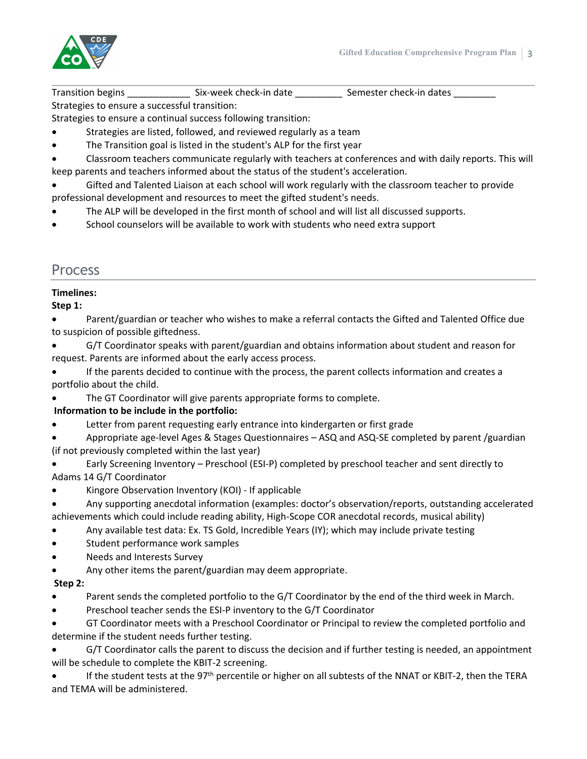

Transition begins \_\_\_\_\_\_\_\_\_\_\_\_\_\_\_\_\_ Six-week check-in date \_\_\_\_\_\_\_\_\_\_\_\_\_ Semester check-in dates \_\_\_\_\_\_\_\_\_\_ Strategies to ensure a successful transition:

Strategies to ensure a continual success following transition:

- Strategies are listed, followed, and reviewed regularly as a team
- The Transition goal is listed in the student's ALP for the first year
- Classroom teachers communicate regularly with teachers at conferences and with daily reports. This will keep parents and teachers informed about the status of the student's acceleration.
- Gifted and Talented Liaison at each school will work regularly with the classroom teacher to provide professional development and resources to meet the gifted student's needs.
- The ALP will be developed in the first month of school and will list all discussed supports.
- School counselors will be available to work with students who need extra support

## Process

#### **Timelines:**

#### **Step 1:**

 Parent/guardian or teacher who wishes to make a referral contacts the Gifted and Talented Office due to suspicion of possible giftedness.

- G/T Coordinator speaks with parent/guardian and obtains information about student and reason for request. Parents are informed about the early access process.
- If the parents decided to continue with the process, the parent collects information and creates a portfolio about the child.
- The GT Coordinator will give parents appropriate forms to complete.

#### **Information to be include in the portfolio:**

- Letter from parent requesting early entrance into kindergarten or first grade
- Appropriate age-level Ages & Stages Questionnaires ASQ and ASQ-SE completed by parent /guardian (if not previously completed within the last year)
- Early Screening Inventory Preschool (ESI-P) completed by preschool teacher and sent directly to Adams 14 G/T Coordinator
- Kingore Observation Inventory (KOI) If applicable
- Any supporting anecdotal information (examples: doctor's observation/reports, outstanding accelerated achievements which could include reading ability, High-Scope COR anecdotal records, musical ability)
- Any available test data: Ex. TS Gold, Incredible Years (IY); which may include private testing
- Student performance work samples
- Needs and Interests Survey
- Any other items the parent/guardian may deem appropriate.

#### **Step 2:**

- Parent sends the completed portfolio to the G/T Coordinator by the end of the third week in March.
- Preschool teacher sends the ESI-P inventory to the G/T Coordinator

 GT Coordinator meets with a Preschool Coordinator or Principal to review the completed portfolio and determine if the student needs further testing.

 G/T Coordinator calls the parent to discuss the decision and if further testing is needed, an appointment will be schedule to complete the KBIT-2 screening.

If the student tests at the 97<sup>th</sup> percentile or higher on all subtests of the NNAT or KBIT-2, then the TERA and TEMA will be administered.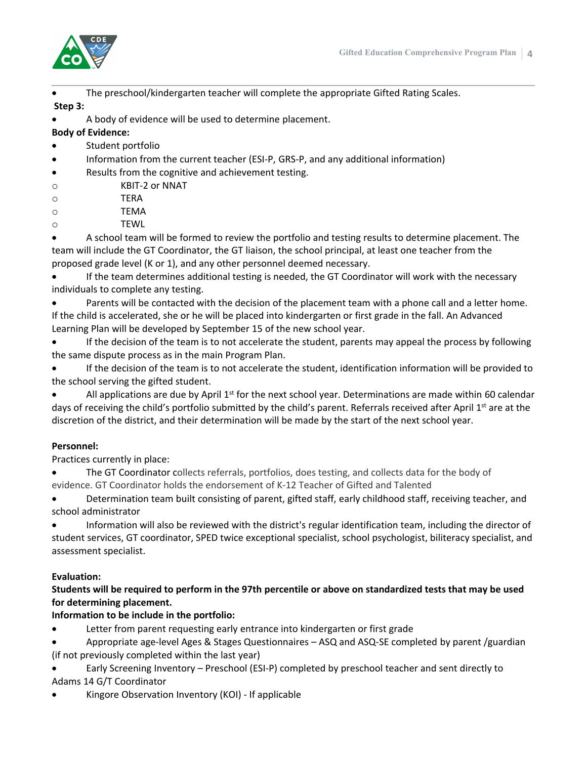

The preschool/kindergarten teacher will complete the appropriate Gifted Rating Scales.

#### **Step 3:**

A body of evidence will be used to determine placement.

### **Body of Evidence:**

- Student portfolio
- Information from the current teacher (ESI-P, GRS-P, and any additional information)
- Results from the cognitive and achievement testing.
- o KBIT-2 or NNAT
- o TERA
- o TEMA
- o TEWL

 A school team will be formed to review the portfolio and testing results to determine placement. The team will include the GT Coordinator, the GT liaison, the school principal, at least one teacher from the proposed grade level (K or 1), and any other personnel deemed necessary.

 If the team determines additional testing is needed, the GT Coordinator will work with the necessary individuals to complete any testing.

 Parents will be contacted with the decision of the placement team with a phone call and a letter home. If the child is accelerated, she or he will be placed into kindergarten or first grade in the fall. An Advanced Learning Plan will be developed by September 15 of the new school year.

- If the decision of the team is to not accelerate the student, parents may appeal the process by following the same dispute process as in the main Program Plan.
- If the decision of the team is to not accelerate the student, identification information will be provided to the school serving the gifted student.
- All applications are due by April 1<sup>st</sup> for the next school year. Determinations are made within 60 calendar days of receiving the child's portfolio submitted by the child's parent. Referrals received after April 1<sup>st</sup> are at the discretion of the district, and their determination will be made by the start of the next school year.

#### **Personnel:**

Practices currently in place:

 The GT Coordinator collects referrals, portfolios, does testing, and collects data for the body of evidence. GT Coordinator holds the endorsement of K-12 Teacher of Gifted and Talented

 Determination team built consisting of parent, gifted staff, early childhood staff, receiving teacher, and school administrator

 Information will also be reviewed with the district's regular identification team, including the director of student services, GT coordinator, SPED twice exceptional specialist, school psychologist, biliteracy specialist, and assessment specialist.

#### **Evaluation:**

Students will be required to perform in the 97th percentile or above on standardized tests that may be used **for determining placement.**

#### **Information to be include in the portfolio:**

- Letter from parent requesting early entrance into kindergarten or first grade
- Appropriate age-level Ages & Stages Questionnaires ASQ and ASQ-SE completed by parent /guardian (if not previously completed within the last year)
- Early Screening Inventory Preschool (ESI-P) completed by preschool teacher and sent directly to Adams 14 G/T Coordinator
- Kingore Observation Inventory (KOI) If applicable